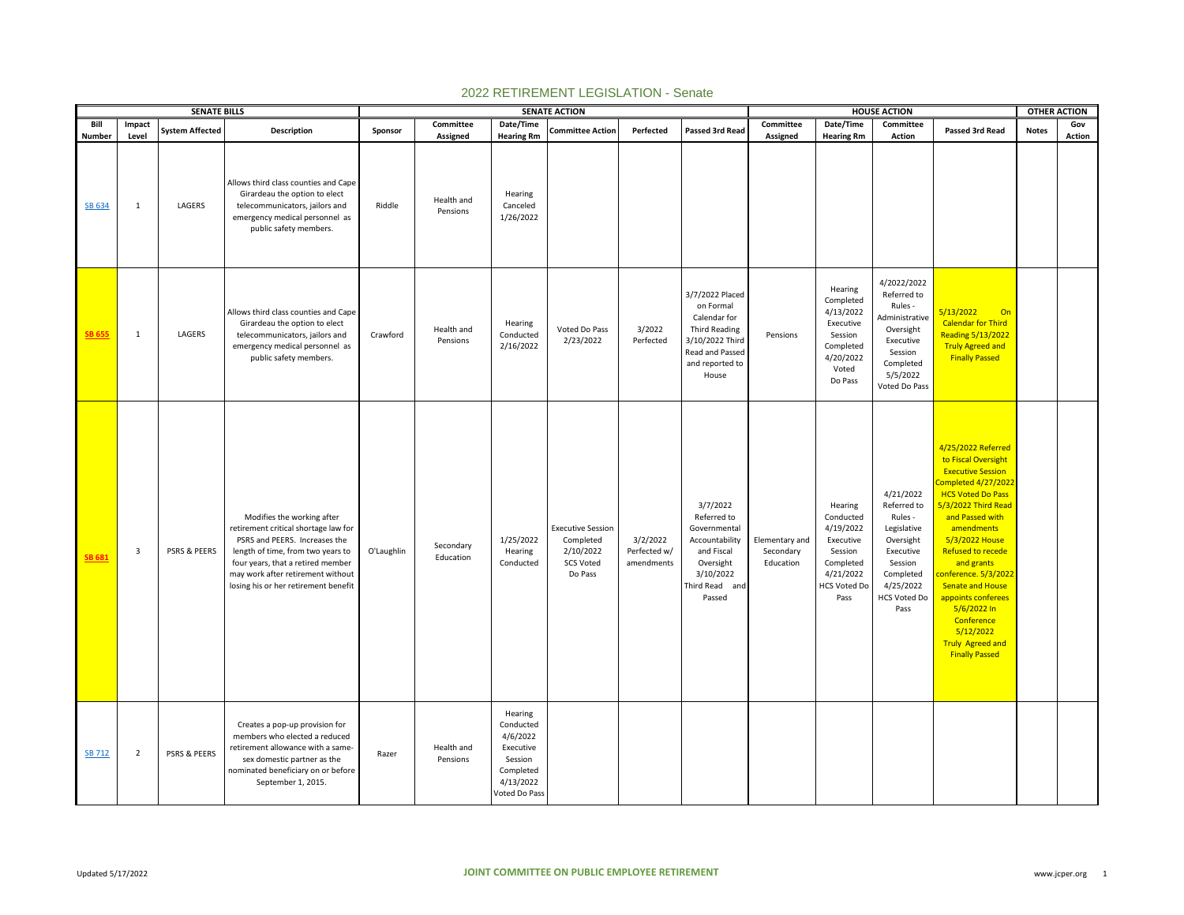|                |                 | <b>SENATE BILLS</b>     |                                                                                                                                                                                                                                                            |            |                        |                                                                                                     | <b>SENATE ACTION</b>                                                              |                                        |                                                                                                                                 |                                          |                                                                                                                    | <b>HOUSE ACTION</b>                                                                                                                       |                                                                                                                                                                                                                                                                                                                                                                                                                     | <b>OTHER ACTION</b> |               |
|----------------|-----------------|-------------------------|------------------------------------------------------------------------------------------------------------------------------------------------------------------------------------------------------------------------------------------------------------|------------|------------------------|-----------------------------------------------------------------------------------------------------|-----------------------------------------------------------------------------------|----------------------------------------|---------------------------------------------------------------------------------------------------------------------------------|------------------------------------------|--------------------------------------------------------------------------------------------------------------------|-------------------------------------------------------------------------------------------------------------------------------------------|---------------------------------------------------------------------------------------------------------------------------------------------------------------------------------------------------------------------------------------------------------------------------------------------------------------------------------------------------------------------------------------------------------------------|---------------------|---------------|
| Bill<br>Number | Impact<br>Level | <b>System Affected</b>  | Description                                                                                                                                                                                                                                                | Sponsor    | Committee<br>Assigned  | Date/Time<br><b>Hearing Rm</b>                                                                      | <b>Committee Action</b>                                                           | Perfected                              | Passed 3rd Read                                                                                                                 | Committee<br>Assigned                    | Date/Time<br><b>Hearing Rm</b>                                                                                     | Committee<br>Action                                                                                                                       | Passed 3rd Read                                                                                                                                                                                                                                                                                                                                                                                                     | <b>Notes</b>        | Gov<br>Action |
| SB 634         | $\mathbf{1}$    | LAGERS                  | Allows third class counties and Cape<br>Girardeau the option to elect<br>telecommunicators, jailors and<br>emergency medical personnel as<br>public safety members.                                                                                        | Riddle     | Health and<br>Pensions | Hearing<br>Canceled<br>1/26/2022                                                                    |                                                                                   |                                        |                                                                                                                                 |                                          |                                                                                                                    |                                                                                                                                           |                                                                                                                                                                                                                                                                                                                                                                                                                     |                     |               |
| SB 655         | $\mathbf{1}$    | LAGERS                  | Allows third class counties and Cape<br>Girardeau the option to elect<br>telecommunicators, jailors and<br>emergency medical personnel as<br>public safety members.                                                                                        | Crawford   | Health and<br>Pensions | Hearing<br>Conducted<br>2/16/2022                                                                   | Voted Do Pass<br>2/23/2022                                                        | 3/2022<br>Perfected                    | 3/7/2022 Placed<br>on Formal<br>Calendar for<br>Third Reading<br>3/10/2022 Third<br>Read and Passed<br>and reported to<br>House | Pensions                                 | Hearing<br>Completed<br>4/13/2022<br>Executive<br>Session<br>Completed<br>4/20/2022<br>Voted<br>Do Pass            | 4/2022/2022<br>Referred to<br>Rules -<br>Administrative<br>Oversight<br>Executive<br>Session<br>Completed<br>5/5/2022<br>Voted Do Pass    | 5/13/2022<br>On<br><b>Calendar for Third</b><br><b>Reading 5/13/2022</b><br><b>Truly Agreed and</b><br><b>Finally Passed</b>                                                                                                                                                                                                                                                                                        |                     |               |
| <b>SB 681</b>  | 3               | PSRS & PEERS            | Modifies the working after<br>retirement critical shortage law for<br>PSRS and PEERS. Increases the<br>length of time, from two years to<br>four years, that a retired member<br>may work after retirement without<br>losing his or her retirement benefit | O'Laughlin | Secondary<br>Education | 1/25/2022<br>Hearing<br>Conducted                                                                   | <b>Executive Session</b><br>Completed<br>2/10/2022<br><b>SCS Voted</b><br>Do Pass | 3/2/2022<br>Perfected w/<br>amendments | 3/7/2022<br>Referred to<br>Governmental<br>Accountability<br>and Fiscal<br>Oversight<br>3/10/2022<br>Third Read and<br>Passed   | Elementary and<br>Secondary<br>Education | Hearing<br>Conducted<br>4/19/2022<br>Executive<br>Session<br>Completed<br>4/21/2022<br><b>HCS Voted Do</b><br>Pass | 4/21/2022<br>Referred to<br>Rules -<br>Legislative<br>Oversight<br>Executive<br>Session<br>Completed<br>4/25/2022<br>HCS Voted Do<br>Pass | 4/25/2022 Referred<br>to Fiscal Oversight<br><b>Executive Session</b><br>Completed 4/27/2022<br><b>HCS Voted Do Pass</b><br>5/3/2022 Third Read<br>and Passed with<br>amendments<br>5/3/2022 House<br><b>Refused to recede</b><br>and grants<br>conference. 5/3/2022<br><b>Senate and House</b><br>appoints conferees<br>5/6/2022 In<br>Conference<br>5/12/2022<br><b>Truly Agreed and</b><br><b>Finally Passed</b> |                     |               |
| SB 712         | $\overline{2}$  | <b>PSRS &amp; PEERS</b> | Creates a pop-up provision for<br>members who elected a reduced<br>retirement allowance with a same-<br>sex domestic partner as the<br>nominated beneficiary on or before<br>September 1, 2015.                                                            | Razer      | Health and<br>Pensions | Hearing<br>Conducted<br>4/6/2022<br>Executive<br>Session<br>Completed<br>4/13/2022<br>Voted Do Pass |                                                                                   |                                        |                                                                                                                                 |                                          |                                                                                                                    |                                                                                                                                           |                                                                                                                                                                                                                                                                                                                                                                                                                     |                     |               |

## 2022 RETIREMENT LEGISLATION - Senate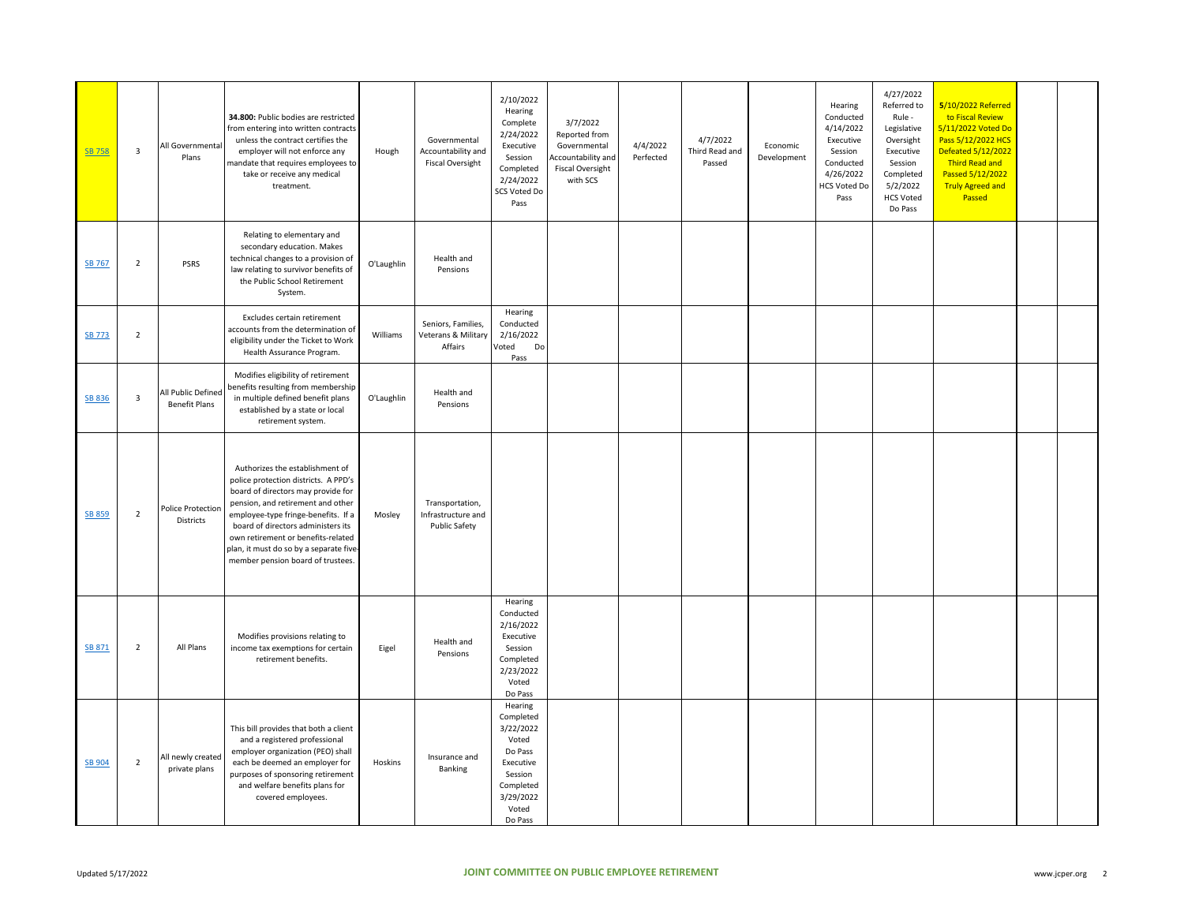| SB 758        | 3              | All Governmental<br>Plans                  | 34.800: Public bodies are restricted<br>from entering into written contracts<br>unless the contract certifies the<br>employer will not enforce any<br>mandate that requires employees to<br>take or receive any medical<br>treatment.                                                                                                                 | Hough      | Governmental<br>Accountability and<br><b>Fiscal Oversight</b> | 2/10/2022<br>Hearing<br>Complete<br>2/24/2022<br>Executive<br>Session<br>Completed<br>2/24/2022<br>SCS Voted Do<br>Pass     | 3/7/2022<br>Reported from<br>Governmental<br>Accountability and<br><b>Fiscal Oversight</b><br>with SCS | 4/4/2022<br>Perfected | 4/7/2022<br>Third Read and<br>Passed | Economic<br>Development | Hearing<br>Conducted<br>4/14/2022<br>Executive<br>Session<br>Conducted<br>4/26/2022<br><b>HCS Voted Do</b><br>Pass | 4/27/2022<br>Referred to<br>Rule -<br>Legislative<br>Oversight<br>Executive<br>Session<br>Completed<br>5/2/2022<br><b>HCS Voted</b><br>Do Pass | 5/10/2022 Referred<br>to Fiscal Review<br>5/11/2022 Voted Do<br>Pass 5/12/2022 HCS<br>Defeated 5/12/2022<br>Third Read and<br>Passed 5/12/2022<br><b>Truly Agreed and</b><br>Passed |  |
|---------------|----------------|--------------------------------------------|-------------------------------------------------------------------------------------------------------------------------------------------------------------------------------------------------------------------------------------------------------------------------------------------------------------------------------------------------------|------------|---------------------------------------------------------------|-----------------------------------------------------------------------------------------------------------------------------|--------------------------------------------------------------------------------------------------------|-----------------------|--------------------------------------|-------------------------|--------------------------------------------------------------------------------------------------------------------|------------------------------------------------------------------------------------------------------------------------------------------------|-------------------------------------------------------------------------------------------------------------------------------------------------------------------------------------|--|
| SB 767        | $\overline{2}$ | <b>PSRS</b>                                | Relating to elementary and<br>secondary education. Makes<br>technical changes to a provision of<br>law relating to survivor benefits of<br>the Public School Retirement<br>System.                                                                                                                                                                    | O'Laughlin | Health and<br>Pensions                                        |                                                                                                                             |                                                                                                        |                       |                                      |                         |                                                                                                                    |                                                                                                                                                |                                                                                                                                                                                     |  |
| <b>SB 773</b> | $\overline{2}$ |                                            | Excludes certain retirement<br>accounts from the determination of<br>eligibility under the Ticket to Work<br>Health Assurance Program.                                                                                                                                                                                                                | Williams   | Seniors, Families,<br>Veterans & Military<br>Affairs          | Hearing<br>Conducted<br>2/16/2022<br>Voted<br>Do<br>Pass                                                                    |                                                                                                        |                       |                                      |                         |                                                                                                                    |                                                                                                                                                |                                                                                                                                                                                     |  |
| SB 836        | 3              | All Public Defined<br><b>Benefit Plans</b> | Modifies eligibility of retirement<br>benefits resulting from membership<br>in multiple defined benefit plans<br>established by a state or local<br>retirement system.                                                                                                                                                                                | O'Laughlin | Health and<br>Pensions                                        |                                                                                                                             |                                                                                                        |                       |                                      |                         |                                                                                                                    |                                                                                                                                                |                                                                                                                                                                                     |  |
| <b>SB 859</b> | $\overline{2}$ | Police Protection<br><b>Districts</b>      | Authorizes the establishment of<br>police protection districts. A PPD's<br>board of directors may provide for<br>pension, and retirement and other<br>employee-type fringe-benefits. If a<br>board of directors administers its<br>own retirement or benefits-related<br>plan, it must do so by a separate five-<br>member pension board of trustees. | Mosley     | Transportation,<br>Infrastructure and<br><b>Public Safety</b> |                                                                                                                             |                                                                                                        |                       |                                      |                         |                                                                                                                    |                                                                                                                                                |                                                                                                                                                                                     |  |
| SB 871        | $\overline{2}$ | All Plans                                  | Modifies provisions relating to<br>income tax exemptions for certain<br>retirement benefits.                                                                                                                                                                                                                                                          | Eigel      | Health and<br>Pensions                                        | Hearing<br>Conducted<br>2/16/2022<br>Executive<br>Session<br>Completed<br>2/23/2022<br>Voted<br>Do Pass                     |                                                                                                        |                       |                                      |                         |                                                                                                                    |                                                                                                                                                |                                                                                                                                                                                     |  |
| <b>SB 904</b> | $\overline{2}$ | All newly created<br>private plans         | This bill provides that both a client<br>and a registered professional<br>employer organization (PEO) shall<br>each be deemed an employer for<br>purposes of sponsoring retirement<br>and welfare benefits plans for<br>covered employees.                                                                                                            | Hoskins    | Insurance and<br>Banking                                      | Hearing<br>Completed<br>3/22/2022<br>Voted<br>Do Pass<br>Executive<br>Session<br>Completed<br>3/29/2022<br>Voted<br>Do Pass |                                                                                                        |                       |                                      |                         |                                                                                                                    |                                                                                                                                                |                                                                                                                                                                                     |  |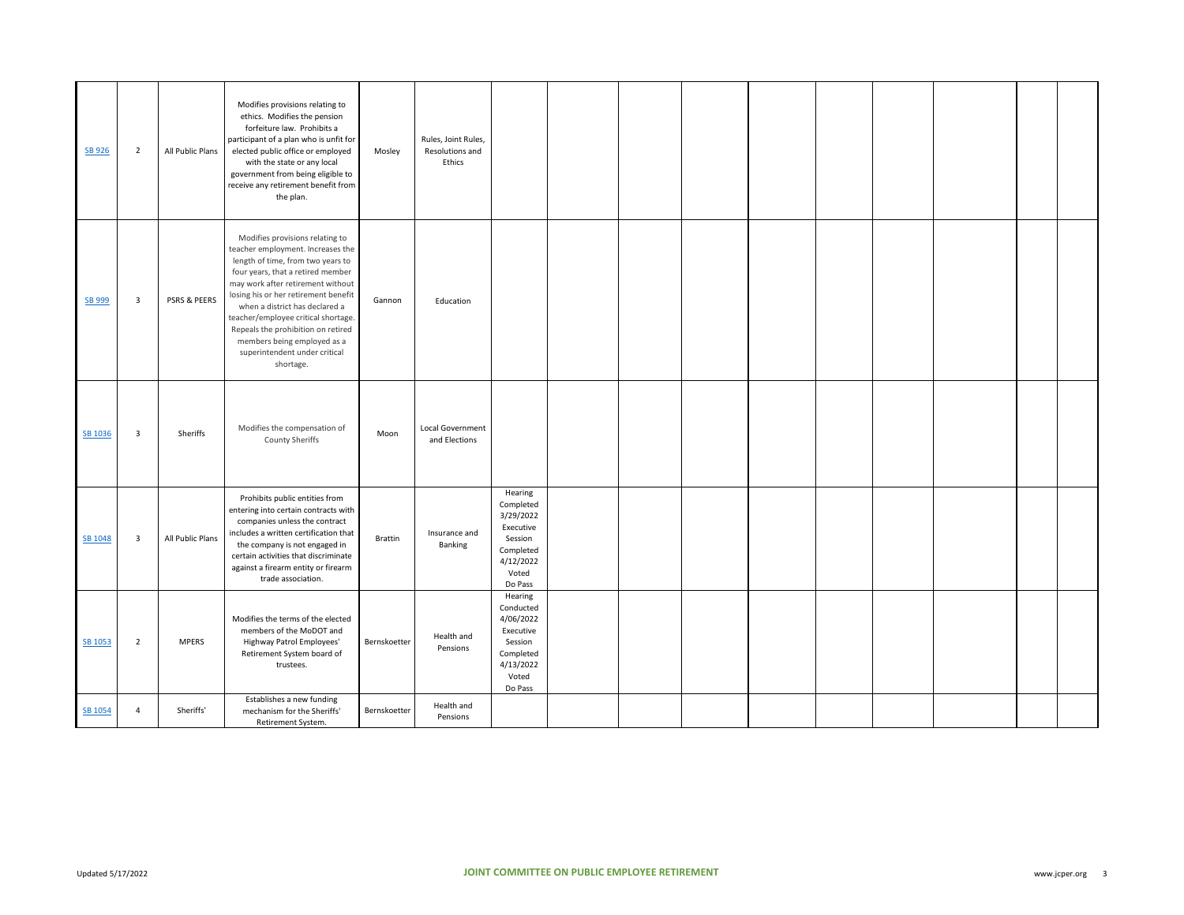| SB 926  | $\overline{2}$          | All Public Plans | Modifies provisions relating to<br>ethics. Modifies the pension<br>forfeiture law. Prohibits a<br>participant of a plan who is unfit for<br>elected public office or employed<br>with the state or any local<br>government from being eligible to<br>receive any retirement benefit from<br>the plan.                                                                                                                   | Mosley         | Rules, Joint Rules,<br>Resolutions and<br>Ethics |                                                                                                         |  |  |  |  |  |
|---------|-------------------------|------------------|-------------------------------------------------------------------------------------------------------------------------------------------------------------------------------------------------------------------------------------------------------------------------------------------------------------------------------------------------------------------------------------------------------------------------|----------------|--------------------------------------------------|---------------------------------------------------------------------------------------------------------|--|--|--|--|--|
| SB 999  | $\overline{\mathbf{3}}$ | PSRS & PEERS     | Modifies provisions relating to<br>teacher employment. Increases the<br>length of time, from two years to<br>four years, that a retired member<br>may work after retirement without<br>losing his or her retirement benefit<br>when a district has declared a<br>teacher/employee critical shortage.<br>Repeals the prohibition on retired<br>members being employed as a<br>superintendent under critical<br>shortage. | Gannon         | Education                                        |                                                                                                         |  |  |  |  |  |
| SB 1036 | 3                       | Sheriffs         | Modifies the compensation of<br>County Sheriffs                                                                                                                                                                                                                                                                                                                                                                         | Moon           | <b>Local Government</b><br>and Elections         |                                                                                                         |  |  |  |  |  |
| SB 1048 | $\overline{\mathbf{3}}$ | All Public Plans | Prohibits public entities from<br>entering into certain contracts with<br>companies unless the contract<br>includes a written certification that<br>the company is not engaged in<br>certain activities that discriminate<br>against a firearm entity or firearm<br>trade association.                                                                                                                                  | <b>Brattin</b> | Insurance and<br>Banking                         | Hearing<br>Completed<br>3/29/2022<br>Executive<br>Session<br>Completed<br>4/12/2022<br>Voted<br>Do Pass |  |  |  |  |  |
| SB 1053 | $\overline{2}$          | <b>MPERS</b>     | Modifies the terms of the elected<br>members of the MoDOT and<br>Highway Patrol Employees'<br>Retirement System board of<br>trustees.                                                                                                                                                                                                                                                                                   | Bernskoetter   | Health and<br>Pensions                           | Hearing<br>Conducted<br>4/06/2022<br>Executive<br>Session<br>Completed<br>4/13/2022<br>Voted<br>Do Pass |  |  |  |  |  |
| SB 1054 | $\overline{4}$          | Sheriffs'        | Establishes a new funding<br>mechanism for the Sheriffs'<br>Retirement System.                                                                                                                                                                                                                                                                                                                                          | Bernskoetter   | Health and<br>Pensions                           |                                                                                                         |  |  |  |  |  |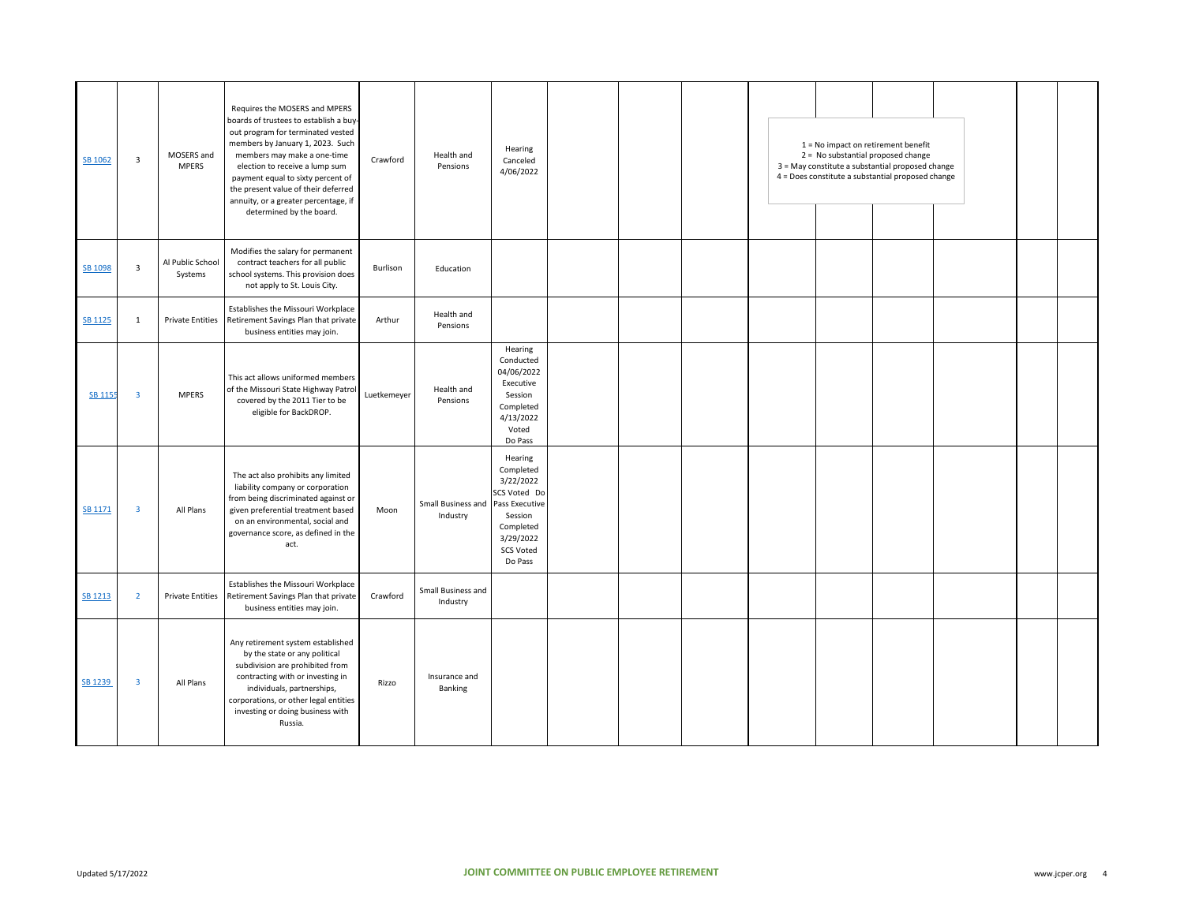| SB 1062        | $\overline{\mathbf{3}}$ | MOSERS and<br><b>MPERS</b>  | Requires the MOSERS and MPERS<br>boards of trustees to establish a buy-<br>out program for terminated vested<br>members by January 1, 2023. Such<br>members may make a one-time<br>election to receive a lump sum<br>payment equal to sixty percent of<br>the present value of their deferred<br>annuity, or a greater percentage, if<br>determined by the board. | Crawford    | Health and<br>Pensions         | Hearing<br>Canceled<br>4/06/2022                                                                                                 |  |  | $1 = No$ impact on retirement benefit<br>2 = No substantial proposed change<br>3 = May constitute a substantial proposed change<br>4 = Does constitute a substantial proposed change |  |  |
|----------------|-------------------------|-----------------------------|-------------------------------------------------------------------------------------------------------------------------------------------------------------------------------------------------------------------------------------------------------------------------------------------------------------------------------------------------------------------|-------------|--------------------------------|----------------------------------------------------------------------------------------------------------------------------------|--|--|--------------------------------------------------------------------------------------------------------------------------------------------------------------------------------------|--|--|
| SB 1098        | $\overline{3}$          | Al Public School<br>Systems | Modifies the salary for permanent<br>contract teachers for all public<br>school systems. This provision does<br>not apply to St. Louis City.                                                                                                                                                                                                                      | Burlison    | Education                      |                                                                                                                                  |  |  |                                                                                                                                                                                      |  |  |
| <b>SB 1125</b> | $\mathbf{1}$            | <b>Private Entities</b>     | Establishes the Missouri Workplace<br>Retirement Savings Plan that private<br>business entities may join.                                                                                                                                                                                                                                                         | Arthur      | Health and<br>Pensions         |                                                                                                                                  |  |  |                                                                                                                                                                                      |  |  |
| SB 1155        | $\overline{\mathbf{3}}$ | <b>MPERS</b>                | This act allows uniformed members<br>of the Missouri State Highway Patrol<br>covered by the 2011 Tier to be<br>eligible for BackDROP.                                                                                                                                                                                                                             | Luetkemeyer | Health and<br>Pensions         | Hearing<br>Conducted<br>04/06/2022<br>Executive<br>Session<br>Completed<br>4/13/2022<br>Voted<br>Do Pass                         |  |  |                                                                                                                                                                                      |  |  |
| SB 1171        | $\overline{\mathbf{3}}$ | All Plans                   | The act also prohibits any limited<br>liability company or corporation<br>from being discriminated against or<br>given preferential treatment based<br>on an environmental, social and<br>governance score, as defined in the<br>act.                                                                                                                             | Moon        | Small Business and<br>Industry | Hearing<br>Completed<br>3/22/2022<br>SCS Voted Do<br>Pass Executive<br>Session<br>Completed<br>3/29/2022<br>SCS Voted<br>Do Pass |  |  |                                                                                                                                                                                      |  |  |
| <b>SB 1213</b> | $\overline{2}$          | <b>Private Entities</b>     | Establishes the Missouri Workplace<br>Retirement Savings Plan that private<br>business entities may join.                                                                                                                                                                                                                                                         | Crawford    | Small Business and<br>Industry |                                                                                                                                  |  |  |                                                                                                                                                                                      |  |  |
| SB 1239        | $\overline{\mathbf{3}}$ | All Plans                   | Any retirement system established<br>by the state or any political<br>subdivision are prohibited from<br>contracting with or investing in<br>individuals, partnerships,<br>corporations, or other legal entities<br>investing or doing business with<br>Russia.                                                                                                   | Rizzo       | Insurance and<br>Banking       |                                                                                                                                  |  |  |                                                                                                                                                                                      |  |  |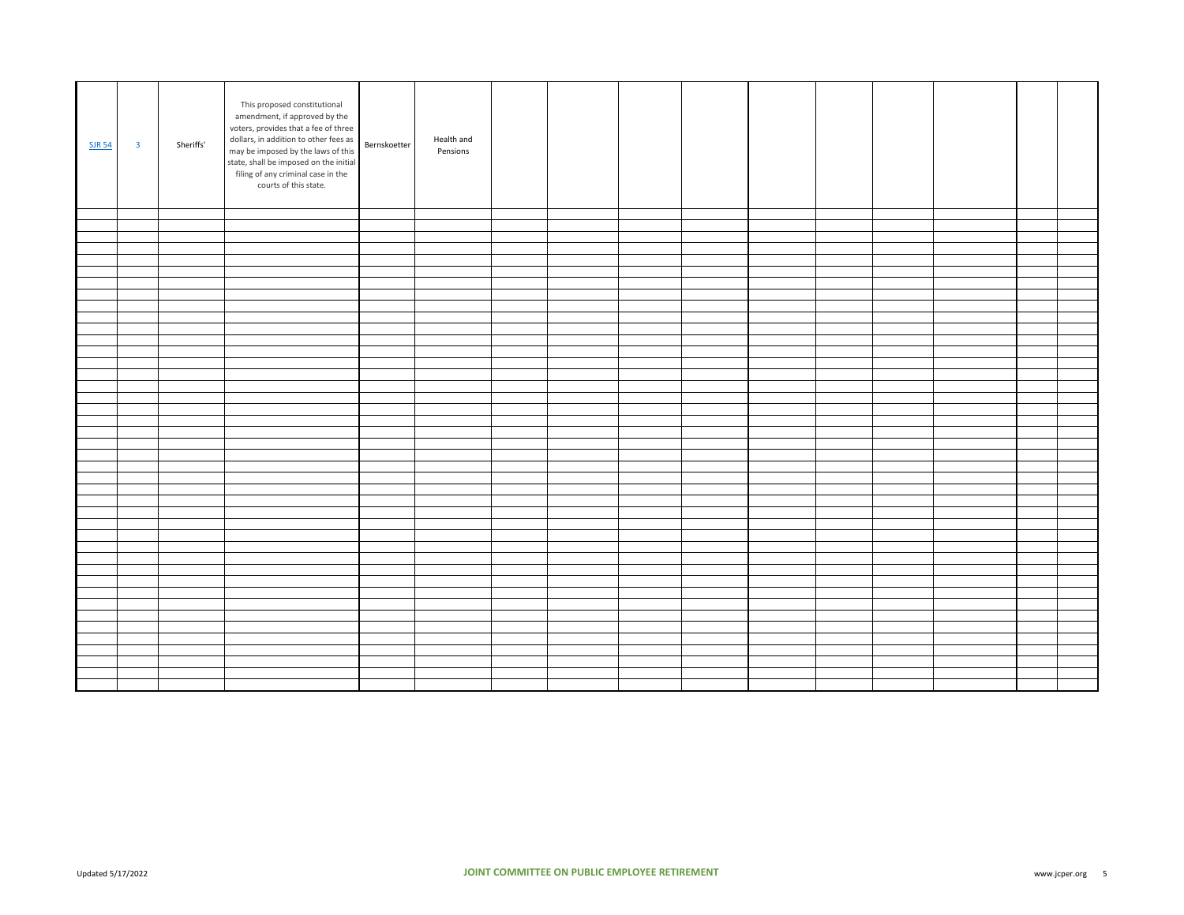| <b>SJR 54</b> | $\overline{\mathbf{3}}$ | Sheriffs' | This proposed constitutional<br>amendment, if approved by the<br>voters, provides that a fee of three<br>dollars, in addition to other fees as<br>may be imposed by the laws of this<br>state, shall be imposed on the initial<br>filing of any criminal case in the<br>courts of this state. | Bernskoetter | Health and<br>Pensions |  |  |  |  |  |
|---------------|-------------------------|-----------|-----------------------------------------------------------------------------------------------------------------------------------------------------------------------------------------------------------------------------------------------------------------------------------------------|--------------|------------------------|--|--|--|--|--|
|               |                         |           |                                                                                                                                                                                                                                                                                               |              |                        |  |  |  |  |  |
|               |                         |           |                                                                                                                                                                                                                                                                                               |              |                        |  |  |  |  |  |
|               |                         |           |                                                                                                                                                                                                                                                                                               |              |                        |  |  |  |  |  |
|               |                         |           |                                                                                                                                                                                                                                                                                               |              |                        |  |  |  |  |  |
|               |                         |           |                                                                                                                                                                                                                                                                                               |              |                        |  |  |  |  |  |
|               |                         |           |                                                                                                                                                                                                                                                                                               |              |                        |  |  |  |  |  |
|               |                         |           |                                                                                                                                                                                                                                                                                               |              |                        |  |  |  |  |  |
|               |                         |           |                                                                                                                                                                                                                                                                                               |              |                        |  |  |  |  |  |
|               |                         |           |                                                                                                                                                                                                                                                                                               |              |                        |  |  |  |  |  |
|               |                         |           |                                                                                                                                                                                                                                                                                               |              |                        |  |  |  |  |  |
|               |                         |           |                                                                                                                                                                                                                                                                                               |              |                        |  |  |  |  |  |
|               |                         |           |                                                                                                                                                                                                                                                                                               |              |                        |  |  |  |  |  |
|               |                         |           |                                                                                                                                                                                                                                                                                               |              |                        |  |  |  |  |  |
|               |                         |           |                                                                                                                                                                                                                                                                                               |              |                        |  |  |  |  |  |
|               |                         |           |                                                                                                                                                                                                                                                                                               |              |                        |  |  |  |  |  |
|               |                         |           |                                                                                                                                                                                                                                                                                               |              |                        |  |  |  |  |  |
|               |                         |           |                                                                                                                                                                                                                                                                                               |              |                        |  |  |  |  |  |
|               |                         |           |                                                                                                                                                                                                                                                                                               |              |                        |  |  |  |  |  |
|               |                         |           |                                                                                                                                                                                                                                                                                               |              |                        |  |  |  |  |  |
|               |                         |           |                                                                                                                                                                                                                                                                                               |              |                        |  |  |  |  |  |
|               |                         |           |                                                                                                                                                                                                                                                                                               |              |                        |  |  |  |  |  |
|               |                         |           |                                                                                                                                                                                                                                                                                               |              |                        |  |  |  |  |  |
|               |                         |           |                                                                                                                                                                                                                                                                                               |              |                        |  |  |  |  |  |
|               |                         |           |                                                                                                                                                                                                                                                                                               |              |                        |  |  |  |  |  |
|               |                         |           |                                                                                                                                                                                                                                                                                               |              |                        |  |  |  |  |  |
|               |                         |           |                                                                                                                                                                                                                                                                                               |              |                        |  |  |  |  |  |
|               |                         |           |                                                                                                                                                                                                                                                                                               |              |                        |  |  |  |  |  |
|               |                         |           |                                                                                                                                                                                                                                                                                               |              |                        |  |  |  |  |  |
|               |                         |           |                                                                                                                                                                                                                                                                                               |              |                        |  |  |  |  |  |
|               |                         |           |                                                                                                                                                                                                                                                                                               |              |                        |  |  |  |  |  |
|               |                         |           |                                                                                                                                                                                                                                                                                               |              |                        |  |  |  |  |  |
|               |                         |           |                                                                                                                                                                                                                                                                                               |              |                        |  |  |  |  |  |
|               |                         |           |                                                                                                                                                                                                                                                                                               |              |                        |  |  |  |  |  |
|               |                         |           |                                                                                                                                                                                                                                                                                               |              |                        |  |  |  |  |  |
|               |                         |           |                                                                                                                                                                                                                                                                                               |              |                        |  |  |  |  |  |
|               |                         |           |                                                                                                                                                                                                                                                                                               |              |                        |  |  |  |  |  |
|               |                         |           |                                                                                                                                                                                                                                                                                               |              |                        |  |  |  |  |  |
|               |                         |           |                                                                                                                                                                                                                                                                                               |              |                        |  |  |  |  |  |
|               |                         |           |                                                                                                                                                                                                                                                                                               |              |                        |  |  |  |  |  |
|               |                         |           |                                                                                                                                                                                                                                                                                               |              |                        |  |  |  |  |  |
|               |                         |           |                                                                                                                                                                                                                                                                                               |              |                        |  |  |  |  |  |
|               |                         |           |                                                                                                                                                                                                                                                                                               |              |                        |  |  |  |  |  |
|               |                         |           |                                                                                                                                                                                                                                                                                               |              |                        |  |  |  |  |  |
|               |                         |           |                                                                                                                                                                                                                                                                                               |              |                        |  |  |  |  |  |
|               |                         |           |                                                                                                                                                                                                                                                                                               |              |                        |  |  |  |  |  |
|               |                         |           |                                                                                                                                                                                                                                                                                               |              |                        |  |  |  |  |  |
|               |                         |           |                                                                                                                                                                                                                                                                                               |              |                        |  |  |  |  |  |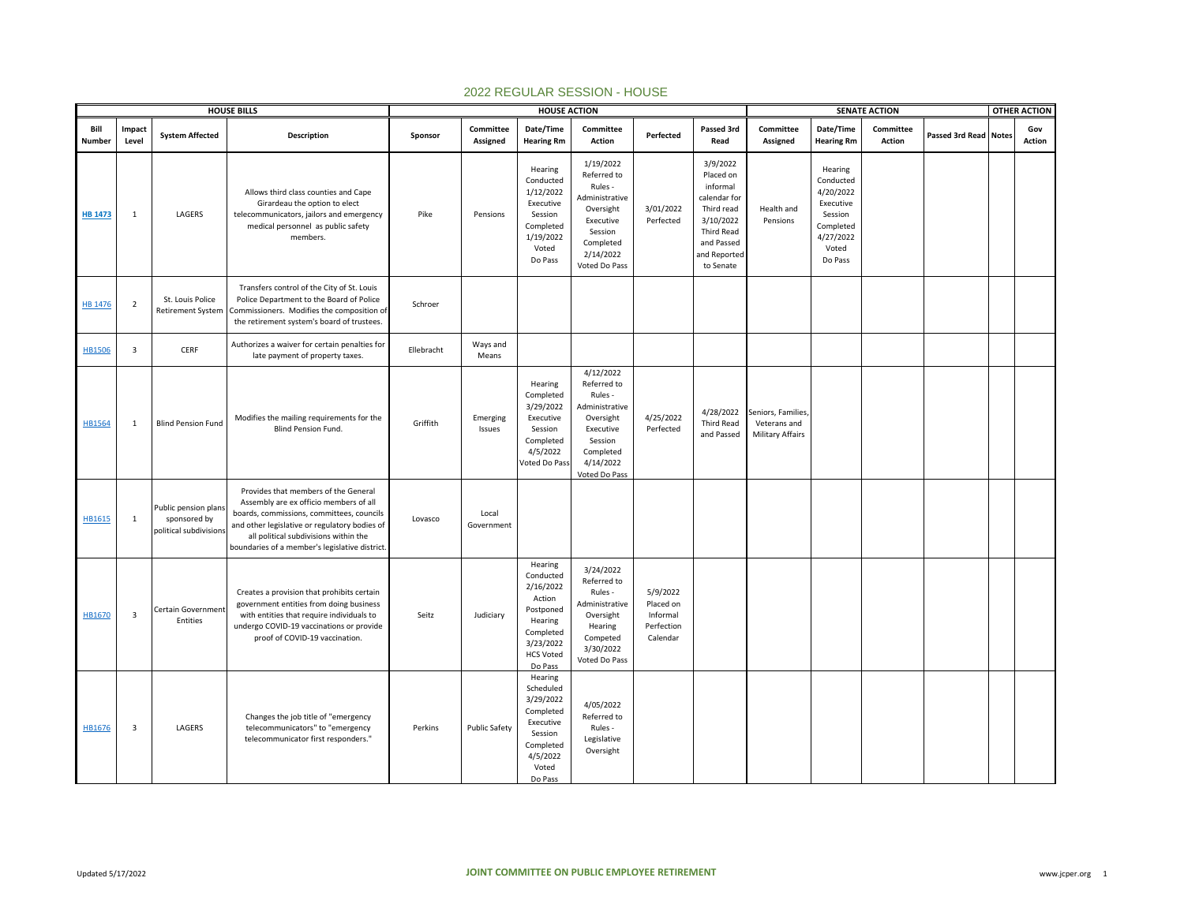|                |                 |                                                                | <b>HOUSE BILLS</b>                                                                                                                                                                                                                                                      |            |                       | <b>HOUSE ACTION</b>                                                                                                          |                                                                                                                                       |                                                             |                                                                                                                                              |                                                               |                                                                                                         | <b>SENATE ACTION</b> |                              | <b>OTHER ACTION</b> |
|----------------|-----------------|----------------------------------------------------------------|-------------------------------------------------------------------------------------------------------------------------------------------------------------------------------------------------------------------------------------------------------------------------|------------|-----------------------|------------------------------------------------------------------------------------------------------------------------------|---------------------------------------------------------------------------------------------------------------------------------------|-------------------------------------------------------------|----------------------------------------------------------------------------------------------------------------------------------------------|---------------------------------------------------------------|---------------------------------------------------------------------------------------------------------|----------------------|------------------------------|---------------------|
| Bill<br>Number | Impact<br>Level | <b>System Affected</b>                                         | Description                                                                                                                                                                                                                                                             | Sponsor    | Committee<br>Assigned | Date/Time<br><b>Hearing Rm</b>                                                                                               | Committee<br>Action                                                                                                                   | Perfected                                                   | Passed 3rd<br>Read                                                                                                                           | Committee<br>Assigned                                         | Date/Time<br><b>Hearing Rm</b>                                                                          | Committee<br>Action  | <b>Passed 3rd Read Notes</b> | Gov<br>Action       |
| <b>HB 1473</b> | 1               | LAGERS                                                         | Allows third class counties and Cape<br>Girardeau the option to elect<br>telecommunicators, jailors and emergency<br>medical personnel as public safety<br>members.                                                                                                     | Pike       | Pensions              | Hearing<br>Conducted<br>1/12/2022<br>Executive<br>Session<br>Completed<br>1/19/2022<br>Voted<br>Do Pass                      | 1/19/2022<br>Referred to<br>Rules -<br>Administrative<br>Oversight<br>Executive<br>Session<br>Completed<br>2/14/2022<br>Voted Do Pass | 3/01/2022<br>Perfected                                      | 3/9/2022<br>Placed on<br>informal<br>calendar for<br>Third read<br>3/10/2022<br><b>Third Read</b><br>and Passed<br>and Reported<br>to Senate | Health and<br>Pensions                                        | Hearing<br>Conducted<br>4/20/2022<br>Executive<br>Session<br>Completed<br>4/27/2022<br>Voted<br>Do Pass |                      |                              |                     |
| HB 1476        | $\overline{2}$  | St. Louis Police<br><b>Retirement System</b>                   | Transfers control of the City of St. Louis<br>Police Department to the Board of Police<br>Commissioners. Modifies the composition of<br>the retirement system's board of trustees.                                                                                      | Schroer    |                       |                                                                                                                              |                                                                                                                                       |                                                             |                                                                                                                                              |                                                               |                                                                                                         |                      |                              |                     |
| <b>HB1506</b>  | 3               | CERF                                                           | Authorizes a waiver for certain penalties for<br>late payment of property taxes.                                                                                                                                                                                        | Ellebracht | Ways and<br>Means     |                                                                                                                              |                                                                                                                                       |                                                             |                                                                                                                                              |                                                               |                                                                                                         |                      |                              |                     |
| <b>HB1564</b>  | 1               | <b>Blind Pension Fund</b>                                      | Modifies the mailing requirements for the<br>Blind Pension Fund.                                                                                                                                                                                                        | Griffith   | Emerging<br>Issues    | Hearing<br>Completed<br>3/29/2022<br>Executive<br>Session<br>Completed<br>4/5/2022<br>Voted Do Pass                          | 4/12/2022<br>Referred to<br>Rules -<br>Administrative<br>Oversight<br>Executive<br>Session<br>Completed<br>4/14/2022<br>Voted Do Pass | 4/25/2022<br>Perfected                                      | 4/28/2022<br><b>Third Read</b><br>and Passed                                                                                                 | Seniors, Families,<br>Veterans and<br><b>Military Affairs</b> |                                                                                                         |                      |                              |                     |
| HB1615         | 1               | Public pension plans<br>sponsored by<br>political subdivisions | Provides that members of the General<br>Assembly are ex officio members of all<br>boards, commissions, committees, councils<br>and other legislative or regulatory bodies of<br>all political subdivisions within the<br>boundaries of a member's legislative district. | Lovasco    | Local<br>Government   |                                                                                                                              |                                                                                                                                       |                                                             |                                                                                                                                              |                                                               |                                                                                                         |                      |                              |                     |
| HB1670         | $\overline{3}$  | Certain Government<br>Entities                                 | Creates a provision that prohibits certain<br>government entities from doing business<br>with entities that require individuals to<br>undergo COVID-19 vaccinations or provide<br>proof of COVID-19 vaccination.                                                        | Seitz      | Judiciary             | Hearing<br>Conducted<br>2/16/2022<br>Action<br>Postponed<br>Hearing<br>Completed<br>3/23/2022<br><b>HCS Voted</b><br>Do Pass | 3/24/2022<br>Referred to<br>Rules -<br>Administrative<br>Oversight<br>Hearing<br>Competed<br>3/30/2022<br>Voted Do Pass               | 5/9/2022<br>Placed on<br>Informal<br>Perfection<br>Calendar |                                                                                                                                              |                                                               |                                                                                                         |                      |                              |                     |
| HB1676         | $\overline{3}$  | LAGERS                                                         | Changes the job title of "emergency<br>telecommunicators" to "emergency<br>telecommunicator first responders."                                                                                                                                                          | Perkins    | <b>Public Safety</b>  | Hearing<br>Scheduled<br>3/29/2022<br>Completed<br>Executive<br>Session<br>Completed<br>4/5/2022<br>Voted<br>Do Pass          | 4/05/2022<br>Referred to<br>Rules -<br>Legislative<br>Oversight                                                                       |                                                             |                                                                                                                                              |                                                               |                                                                                                         |                      |                              |                     |

## 2022 REGULAR SESSION - HOUSE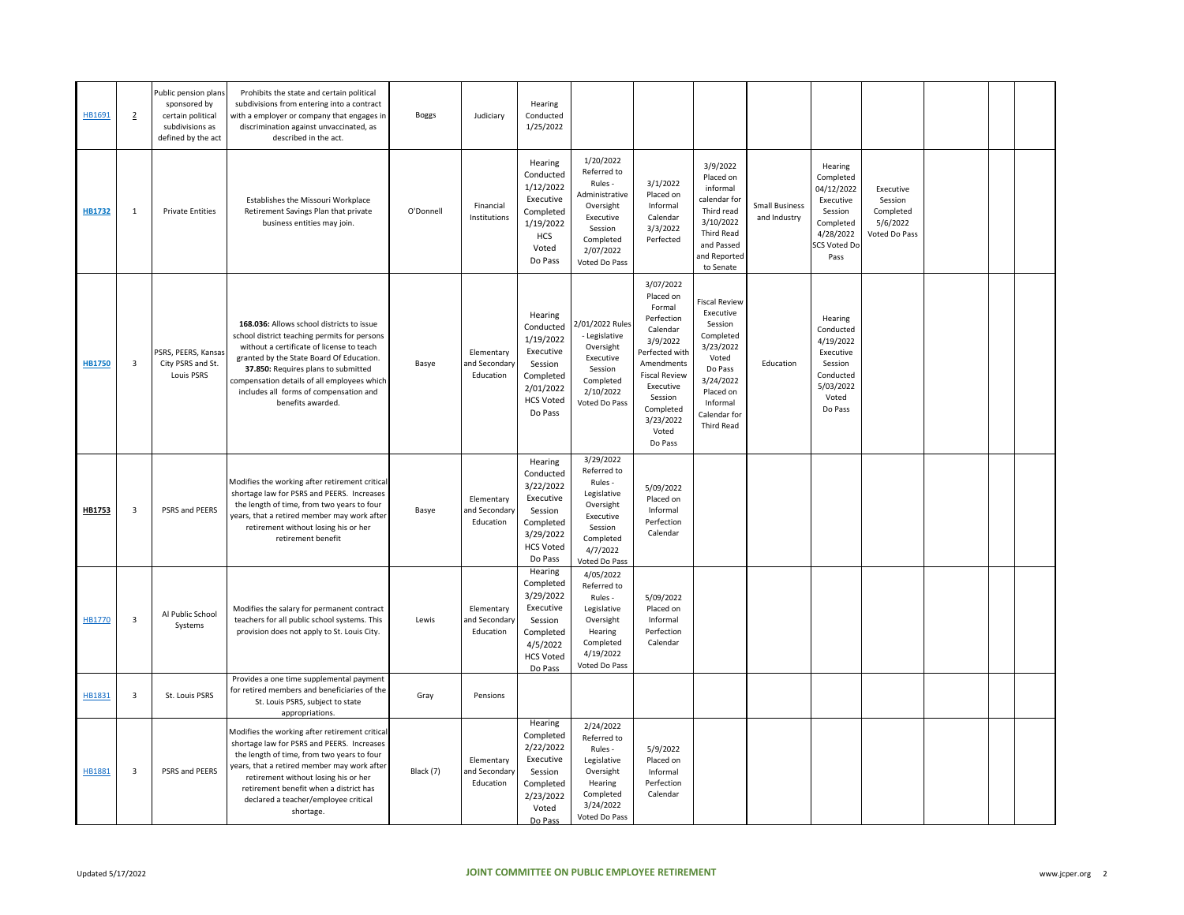| HB1691        | $\overline{2}$          | Public pension plans<br>sponsored by<br>certain political<br>subdivisions as<br>defined by the act | Prohibits the state and certain political<br>subdivisions from entering into a contract<br>with a employer or company that engages in<br>discrimination against unvaccinated, as<br>described in the act.                                                                                                                               | <b>Boggs</b> | Judiciary                                | Hearing<br>Conducted<br>1/25/2022                                                                                  |                                                                                                                                       |                                                                                                                                                                                                      |                                                                                                                                                               |                                       |                                                                                                                     |                                                                |  |  |
|---------------|-------------------------|----------------------------------------------------------------------------------------------------|-----------------------------------------------------------------------------------------------------------------------------------------------------------------------------------------------------------------------------------------------------------------------------------------------------------------------------------------|--------------|------------------------------------------|--------------------------------------------------------------------------------------------------------------------|---------------------------------------------------------------------------------------------------------------------------------------|------------------------------------------------------------------------------------------------------------------------------------------------------------------------------------------------------|---------------------------------------------------------------------------------------------------------------------------------------------------------------|---------------------------------------|---------------------------------------------------------------------------------------------------------------------|----------------------------------------------------------------|--|--|
| <b>HB1732</b> | 1                       | <b>Private Entities</b>                                                                            | Establishes the Missouri Workplace<br>Retirement Savings Plan that private<br>business entities may join.                                                                                                                                                                                                                               | O'Donnell    | Financial<br>Institutions                | Hearing<br>Conducted<br>1/12/2022<br>Executive<br>Completed<br>1/19/2022<br><b>HCS</b><br>Voted<br>Do Pass         | 1/20/2022<br>Referred to<br>Rules -<br>Administrative<br>Oversight<br>Executive<br>Session<br>Completed<br>2/07/2022<br>Voted Do Pass | 3/1/2022<br>Placed on<br>Informal<br>Calendar<br>3/3/2022<br>Perfected                                                                                                                               | 3/9/2022<br>Placed on<br>informal<br>calendar for<br>Third read<br>3/10/2022<br><b>Third Read</b><br>and Passed<br>and Reported<br>to Senate                  | <b>Small Business</b><br>and Industry | Hearing<br>Completed<br>04/12/2022<br>Executive<br>Session<br>Completed<br>4/28/2022<br><b>SCS Voted Do</b><br>Pass | Executive<br>Session<br>Completed<br>5/6/2022<br>Voted Do Pass |  |  |
| <b>HB1750</b> | $\overline{\mathbf{3}}$ | PSRS, PEERS, Kansas<br>City PSRS and St.<br>Louis PSRS                                             | 168.036: Allows school districts to issue<br>school district teaching permits for persons<br>without a certificate of license to teach<br>granted by the State Board Of Education.<br>37.850: Requires plans to submitted<br>compensation details of all employees which<br>includes all forms of compensation and<br>benefits awarded. | Basye        | Elementary<br>and Secondary<br>Education | Hearing<br>Conducted<br>1/19/2022<br>Executive<br>Session<br>Completed<br>2/01/2022<br><b>HCS Voted</b><br>Do Pass | 2/01/2022 Rules<br>- Legislative<br>Oversight<br>Executive<br>Session<br>Completed<br>2/10/2022<br>Voted Do Pass                      | 3/07/2022<br>Placed on<br>Formal<br>Perfection<br>Calendar<br>3/9/2022<br>Perfected with<br>Amendments<br><b>Fiscal Review</b><br>Executive<br>Session<br>Completed<br>3/23/2022<br>Voted<br>Do Pass | iscal Review<br>Executive<br>Session<br>Completed<br>3/23/2022<br>Voted<br>Do Pass<br>3/24/2022<br>Placed on<br>Informal<br>Calendar for<br><b>Third Read</b> | Education                             | Hearing<br>Conducted<br>4/19/2022<br>Executive<br>Session<br>Conducted<br>5/03/2022<br>Voted<br>Do Pass             |                                                                |  |  |
| HB1753        | $\overline{\mathbf{3}}$ | PSRS and PEERS                                                                                     | Modifies the working after retirement critical<br>shortage law for PSRS and PEERS. Increases<br>the length of time, from two years to four<br>years, that a retired member may work after<br>retirement without losing his or her<br>retirement benefit                                                                                 | Basye        | Elementary<br>and Secondary<br>Education | Hearing<br>Conducted<br>3/22/2022<br>Executive<br>Session<br>Completed<br>3/29/2022<br><b>HCS Voted</b><br>Do Pass | 3/29/2022<br>Referred to<br>Rules -<br>Legislative<br>Oversight<br>Executive<br>Session<br>Completed<br>4/7/2022<br>Voted Do Pass     | 5/09/2022<br>Placed on<br>Informal<br>Perfection<br>Calendar                                                                                                                                         |                                                                                                                                                               |                                       |                                                                                                                     |                                                                |  |  |
| HB1770        | 3                       | Al Public School<br>Systems                                                                        | Modifies the salary for permanent contract<br>teachers for all public school systems. This<br>provision does not apply to St. Louis City.                                                                                                                                                                                               | Lewis        | Elementary<br>and Secondary<br>Education | Hearing<br>Completed<br>3/29/2022<br>Executive<br>Session<br>Completed<br>4/5/2022<br><b>HCS Voted</b><br>Do Pass  | 4/05/2022<br>Referred to<br>Rules -<br>Legislative<br>Oversight<br>Hearing<br>Completed<br>4/19/2022<br>Voted Do Pass                 | 5/09/2022<br>Placed on<br>Informal<br>Perfection<br>Calendar                                                                                                                                         |                                                                                                                                                               |                                       |                                                                                                                     |                                                                |  |  |
| HB1831        | $\overline{\mathbf{3}}$ | St. Louis PSRS                                                                                     | Provides a one time supplemental payment<br>for retired members and beneficiaries of the<br>St. Louis PSRS, subject to state<br>appropriations.                                                                                                                                                                                         | Gray         | Pensions                                 |                                                                                                                    |                                                                                                                                       |                                                                                                                                                                                                      |                                                                                                                                                               |                                       |                                                                                                                     |                                                                |  |  |
| HB1881        | $\overline{\mathbf{3}}$ | PSRS and PEERS                                                                                     | Modifies the working after retirement critical<br>shortage law for PSRS and PEERS. Increases<br>the length of time, from two years to four<br>years, that a retired member may work after<br>retirement without losing his or her<br>retirement benefit when a district has<br>declared a teacher/employee critical<br>shortage.        | Black (7)    | Elementary<br>and Secondary<br>Education | Hearing<br>Completed<br>2/22/2022<br>Executive<br>Session<br>Completed<br>2/23/2022<br>Voted<br>Do Pass            | 2/24/2022<br>Referred to<br>Rules -<br>Legislative<br>Oversight<br>Hearing<br>Completed<br>3/24/2022<br>Voted Do Pass                 | 5/9/2022<br>Placed on<br>Informal<br>Perfection<br>Calendar                                                                                                                                          |                                                                                                                                                               |                                       |                                                                                                                     |                                                                |  |  |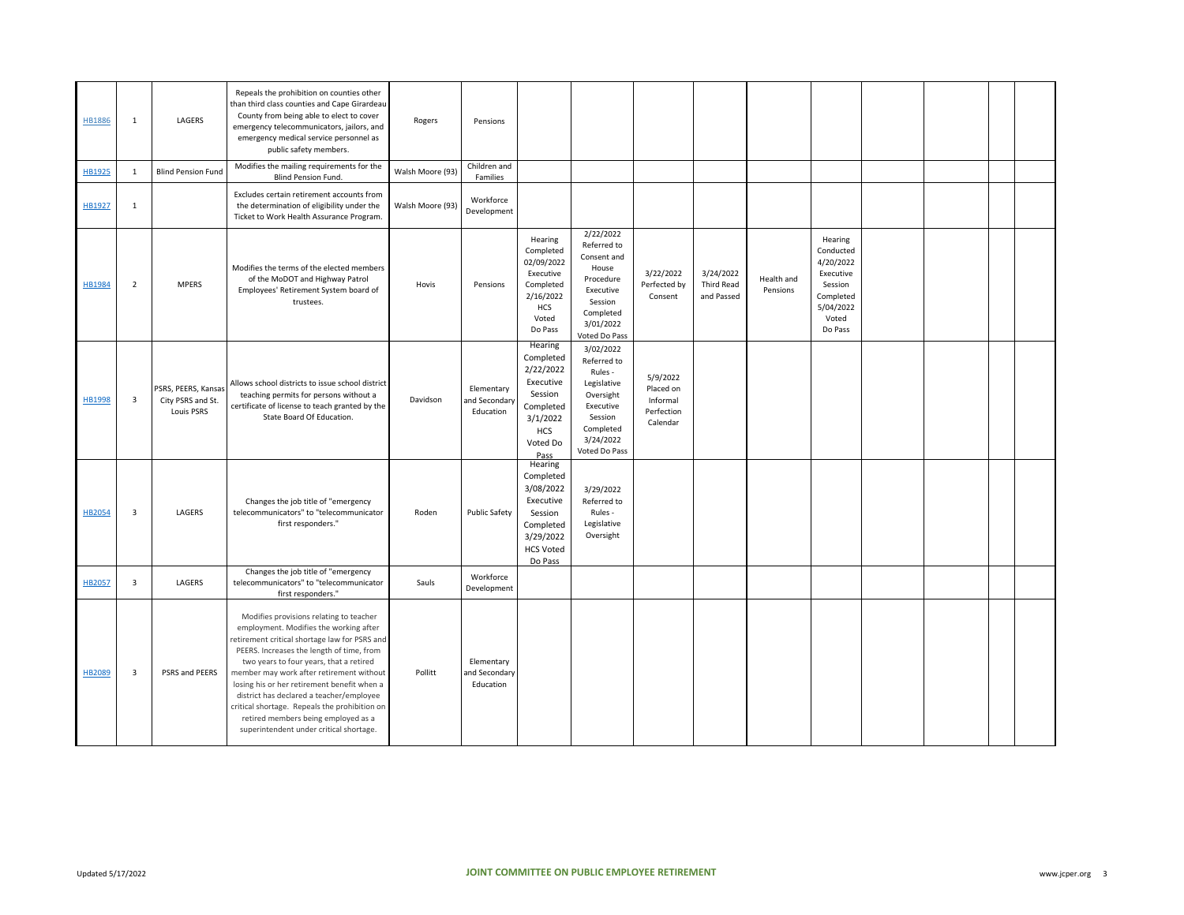| <b>HB1886</b> | 1                       | LAGERS                                                 | Repeals the prohibition on counties other<br>than third class counties and Cape Girardeau<br>County from being able to elect to cover<br>emergency telecommunicators, jailors, and<br>emergency medical service personnel as<br>public safety members.                                                                                                                                                                                                                                               | Rogers           | Pensions                                 |                                                                                                                      |                                                                                                                                    |                                                             |                                       |                        |                                                                                                         |  |  |
|---------------|-------------------------|--------------------------------------------------------|------------------------------------------------------------------------------------------------------------------------------------------------------------------------------------------------------------------------------------------------------------------------------------------------------------------------------------------------------------------------------------------------------------------------------------------------------------------------------------------------------|------------------|------------------------------------------|----------------------------------------------------------------------------------------------------------------------|------------------------------------------------------------------------------------------------------------------------------------|-------------------------------------------------------------|---------------------------------------|------------------------|---------------------------------------------------------------------------------------------------------|--|--|
| HB1925        | $\mathbf 1$             | <b>Blind Pension Fund</b>                              | Modifies the mailing requirements for the<br>Blind Pension Fund.                                                                                                                                                                                                                                                                                                                                                                                                                                     | Walsh Moore (93) | Children and<br>Families                 |                                                                                                                      |                                                                                                                                    |                                                             |                                       |                        |                                                                                                         |  |  |
| HB1927        | $\mathbf{1}$            |                                                        | Excludes certain retirement accounts from<br>the determination of eligibility under the<br>Ticket to Work Health Assurance Program.                                                                                                                                                                                                                                                                                                                                                                  | Walsh Moore (93) | Workforce<br>Development                 |                                                                                                                      |                                                                                                                                    |                                                             |                                       |                        |                                                                                                         |  |  |
| <b>HB1984</b> | $\overline{2}$          | <b>MPERS</b>                                           | Modifies the terms of the elected members<br>of the MoDOT and Highway Patrol<br>Employees' Retirement System board of<br>trustees.                                                                                                                                                                                                                                                                                                                                                                   | Hovis            | Pensions                                 | Hearing<br>Completed<br>02/09/2022<br>Executive<br>Completed<br>2/16/2022<br><b>HCS</b><br>Voted<br>Do Pass          | 2/22/2022<br>Referred to<br>Consent and<br>House<br>Procedure<br>Executive<br>Session<br>Completed<br>3/01/2022<br>Voted Do Pass   | 3/22/2022<br>Perfected by<br>Consent                        | 3/24/2022<br>Third Read<br>and Passed | Health and<br>Pensions | Hearing<br>Conducted<br>4/20/2022<br>Executive<br>Session<br>Completed<br>5/04/2022<br>Voted<br>Do Pass |  |  |
| HB1998        | 3                       | PSRS, PEERS, Kansas<br>City PSRS and St.<br>Louis PSRS | Allows school districts to issue school district<br>teaching permits for persons without a<br>certificate of license to teach granted by the<br>State Board Of Education.                                                                                                                                                                                                                                                                                                                            | Davidson         | Elementary<br>and Secondary<br>Education | Hearing<br>Completed<br>2/22/2022<br>Executive<br>Session<br>Completed<br>3/1/2022<br><b>HCS</b><br>Voted Do<br>Pass | 3/02/2022<br>Referred to<br>Rules -<br>Legislative<br>Oversight<br>Executive<br>Session<br>Completed<br>3/24/2022<br>Voted Do Pass | 5/9/2022<br>Placed on<br>Informal<br>Perfection<br>Calendar |                                       |                        |                                                                                                         |  |  |
| <b>HB2054</b> | $\overline{3}$          | LAGERS                                                 | Changes the job title of "emergency<br>telecommunicators" to "telecommunicator<br>first responders."                                                                                                                                                                                                                                                                                                                                                                                                 | Roden            | <b>Public Safety</b>                     | Hearing<br>Completed<br>3/08/2022<br>Executive<br>Session<br>Completed<br>3/29/2022<br><b>HCS Voted</b><br>Do Pass   | 3/29/2022<br>Referred to<br>Rules -<br>Legislative<br>Oversight                                                                    |                                                             |                                       |                        |                                                                                                         |  |  |
| HB2057        | $\overline{3}$          | LAGERS                                                 | Changes the job title of "emergency<br>telecommunicators" to "telecommunicator<br>first responders."                                                                                                                                                                                                                                                                                                                                                                                                 | Sauls            | Workforce<br>Development                 |                                                                                                                      |                                                                                                                                    |                                                             |                                       |                        |                                                                                                         |  |  |
| HB2089        | $\overline{\mathbf{3}}$ | PSRS and PEERS                                         | Modifies provisions relating to teacher<br>employment. Modifies the working after<br>retirement critical shortage law for PSRS and<br>PEERS. Increases the length of time, from<br>two years to four years, that a retired<br>member may work after retirement without<br>losing his or her retirement benefit when a<br>district has declared a teacher/employee<br>critical shortage. Repeals the prohibition on<br>retired members being employed as a<br>superintendent under critical shortage. | Pollitt          | Elementary<br>and Secondary<br>Education |                                                                                                                      |                                                                                                                                    |                                                             |                                       |                        |                                                                                                         |  |  |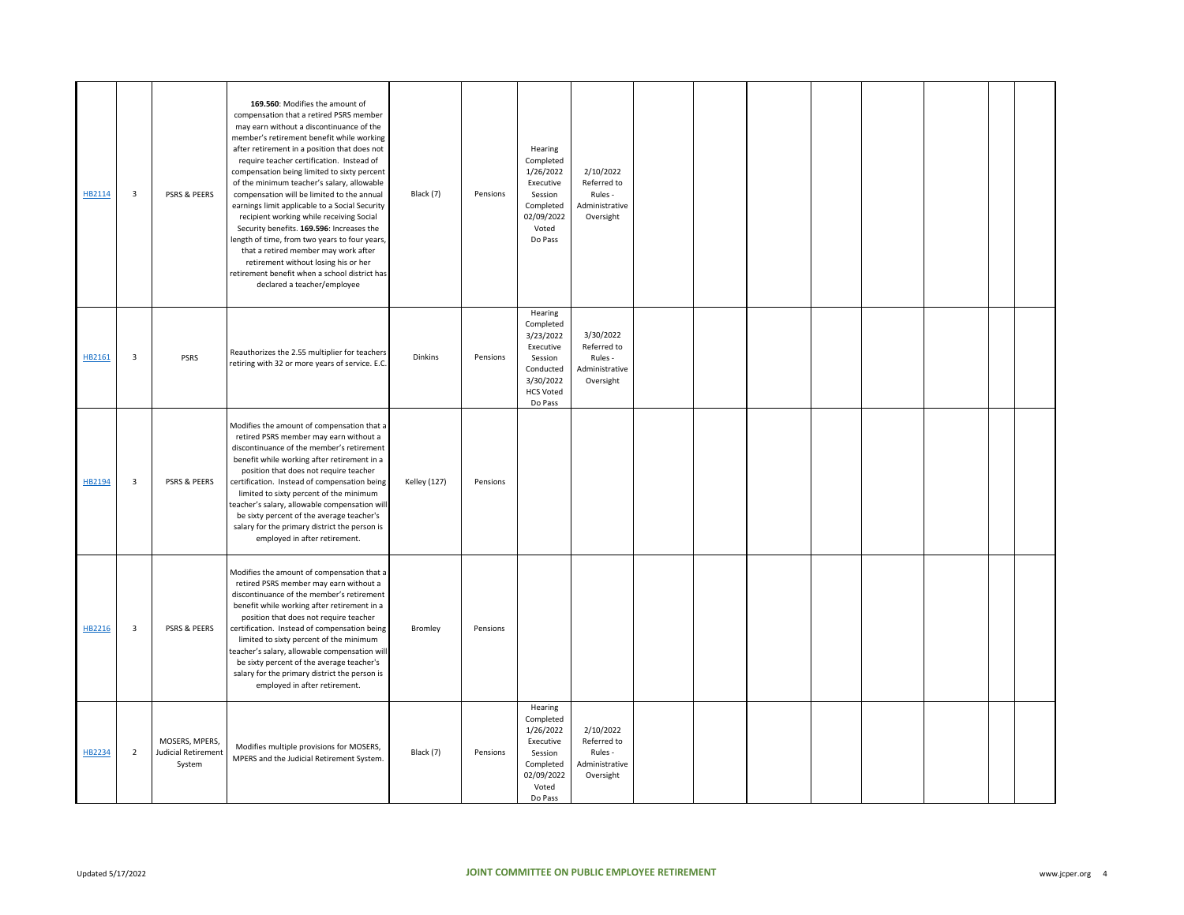| HB2114 | $\overline{\mathbf{3}}$ | PSRS & PEERS                                           | 169.560: Modifies the amount of<br>compensation that a retired PSRS member<br>may earn without a discontinuance of the<br>member's retirement benefit while working<br>after retirement in a position that does not<br>require teacher certification. Instead of<br>compensation being limited to sixty percent<br>of the minimum teacher's salary, allowable<br>compensation will be limited to the annual<br>earnings limit applicable to a Social Security<br>recipient working while receiving Social<br>Security benefits. 169.596: Increases the<br>length of time, from two years to four years,<br>that a retired member may work after<br>retirement without losing his or her<br>retirement benefit when a school district has<br>declared a teacher/employee | Black (7)           | Pensions | Hearing<br>Completed<br>1/26/2022<br>Executive<br>Session<br>Completed<br>02/09/2022<br>Voted<br>Do Pass           | 2/10/2022<br>Referred to<br>Rules -<br>Administrative<br>Oversight |  |  |  |  |
|--------|-------------------------|--------------------------------------------------------|-------------------------------------------------------------------------------------------------------------------------------------------------------------------------------------------------------------------------------------------------------------------------------------------------------------------------------------------------------------------------------------------------------------------------------------------------------------------------------------------------------------------------------------------------------------------------------------------------------------------------------------------------------------------------------------------------------------------------------------------------------------------------|---------------------|----------|--------------------------------------------------------------------------------------------------------------------|--------------------------------------------------------------------|--|--|--|--|
| HB2161 | 3                       | <b>PSRS</b>                                            | Reauthorizes the 2.55 multiplier for teachers<br>retiring with 32 or more years of service. E.C.                                                                                                                                                                                                                                                                                                                                                                                                                                                                                                                                                                                                                                                                        | <b>Dinkins</b>      | Pensions | Hearing<br>Completed<br>3/23/2022<br>Executive<br>Session<br>Conducted<br>3/30/2022<br><b>HCS Voted</b><br>Do Pass | 3/30/2022<br>Referred to<br>Rules -<br>Administrative<br>Oversight |  |  |  |  |
| HB2194 | $\overline{\mathbf{3}}$ | PSRS & PEERS                                           | Modifies the amount of compensation that a<br>retired PSRS member may earn without a<br>discontinuance of the member's retirement<br>benefit while working after retirement in a<br>position that does not require teacher<br>certification. Instead of compensation being<br>limited to sixty percent of the minimum<br>teacher's salary, allowable compensation will<br>be sixty percent of the average teacher's<br>salary for the primary district the person is<br>employed in after retirement.                                                                                                                                                                                                                                                                   | <b>Kelley (127)</b> | Pensions |                                                                                                                    |                                                                    |  |  |  |  |
| HB2216 | 3                       | PSRS & PEERS                                           | Modifies the amount of compensation that a<br>retired PSRS member may earn without a<br>discontinuance of the member's retirement<br>benefit while working after retirement in a<br>position that does not require teacher<br>certification. Instead of compensation being<br>limited to sixty percent of the minimum<br>teacher's salary, allowable compensation will<br>be sixty percent of the average teacher's<br>salary for the primary district the person is<br>employed in after retirement.                                                                                                                                                                                                                                                                   | Bromley             | Pensions |                                                                                                                    |                                                                    |  |  |  |  |
| HB2234 | $\overline{2}$          | MOSERS, MPERS,<br><b>Judicial Retirement</b><br>System | Modifies multiple provisions for MOSERS,<br>MPERS and the Judicial Retirement System.                                                                                                                                                                                                                                                                                                                                                                                                                                                                                                                                                                                                                                                                                   | Black (7)           | Pensions | Hearing<br>Completed<br>1/26/2022<br>Executive<br>Session<br>Completed<br>02/09/2022<br>Voted<br>Do Pass           | 2/10/2022<br>Referred to<br>Rules -<br>Administrative<br>Oversight |  |  |  |  |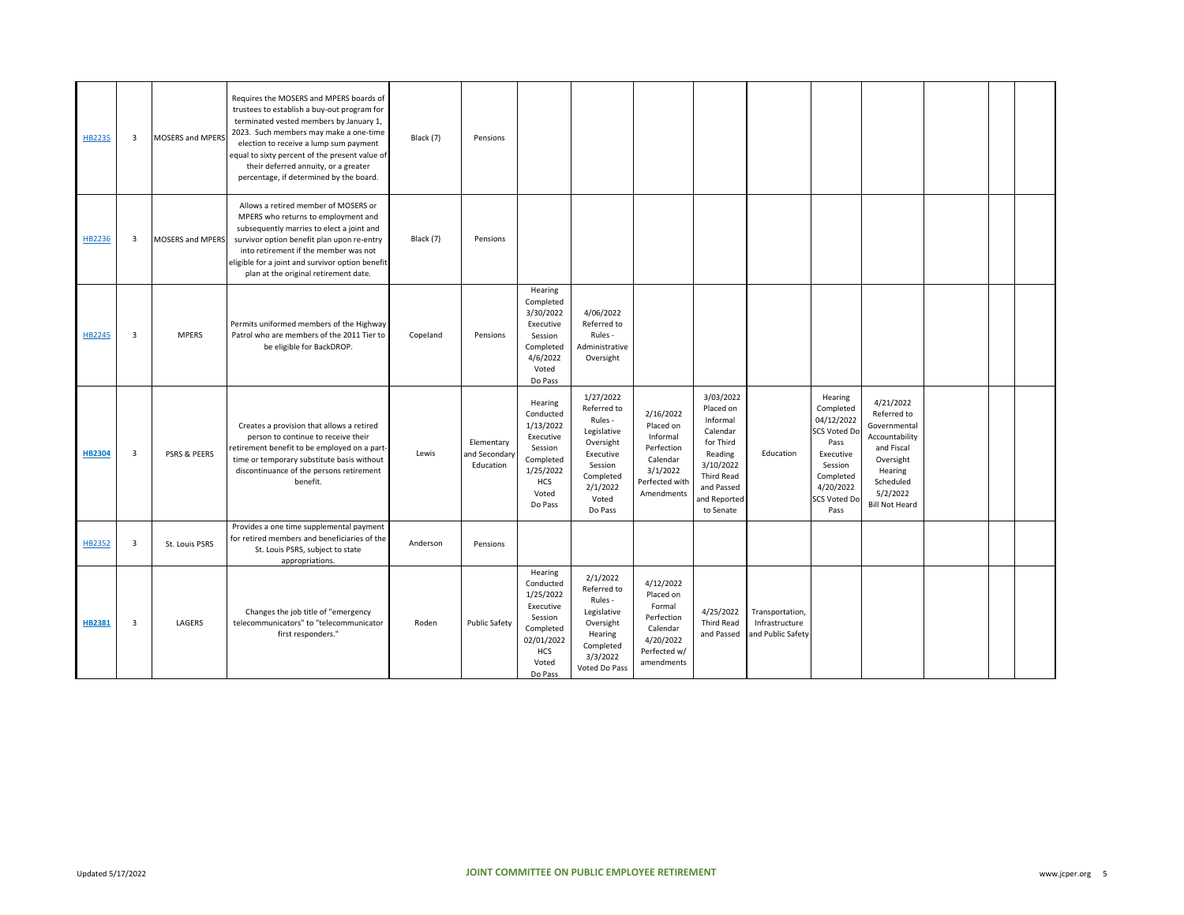| HB2235        | $\overline{\mathbf{3}}$ | <b>MOSERS and MPERS</b> | Requires the MOSERS and MPERS boards of<br>trustees to establish a buy-out program for<br>terminated vested members by January 1,<br>2023. Such members may make a one-time<br>election to receive a lump sum payment<br>equal to sixty percent of the present value of<br>their deferred annuity, or a greater<br>percentage, if determined by the board. | Black (7) | Pensions                                 |                                                                                                                 |                                                                                                                                      |                                                                                                          |                                                                                                                                                     |                                                        |                                                                                                                                      |                                                                                                                                                    |  |  |
|---------------|-------------------------|-------------------------|------------------------------------------------------------------------------------------------------------------------------------------------------------------------------------------------------------------------------------------------------------------------------------------------------------------------------------------------------------|-----------|------------------------------------------|-----------------------------------------------------------------------------------------------------------------|--------------------------------------------------------------------------------------------------------------------------------------|----------------------------------------------------------------------------------------------------------|-----------------------------------------------------------------------------------------------------------------------------------------------------|--------------------------------------------------------|--------------------------------------------------------------------------------------------------------------------------------------|----------------------------------------------------------------------------------------------------------------------------------------------------|--|--|
| HB2236        | $\overline{\mathbf{3}}$ | MOSERS and MPERS        | Allows a retired member of MOSERS or<br>MPERS who returns to employment and<br>subsequently marries to elect a joint and<br>survivor option benefit plan upon re-entry<br>into retirement if the member was not<br>eligible for a joint and survivor option benefit<br>plan at the original retirement date.                                               | Black (7) | Pensions                                 |                                                                                                                 |                                                                                                                                      |                                                                                                          |                                                                                                                                                     |                                                        |                                                                                                                                      |                                                                                                                                                    |  |  |
| HB2245        | $\overline{\mathbf{3}}$ | <b>MPERS</b>            | Permits uniformed members of the Highway<br>Patrol who are members of the 2011 Tier to<br>be eligible for BackDROP.                                                                                                                                                                                                                                        | Copeland  | Pensions                                 | Hearing<br>Completed<br>3/30/2022<br>Executive<br>Session<br>Completed<br>4/6/2022<br>Voted<br>Do Pass          | 4/06/2022<br>Referred to<br>Rules -<br>Administrative<br>Oversight                                                                   |                                                                                                          |                                                                                                                                                     |                                                        |                                                                                                                                      |                                                                                                                                                    |  |  |
| <b>HB2304</b> | $\overline{\mathbf{3}}$ | <b>PSRS &amp; PEERS</b> | Creates a provision that allows a retired<br>person to continue to receive their<br>retirement benefit to be employed on a part-<br>time or temporary substitute basis without<br>discontinuance of the persons retirement<br>benefit.                                                                                                                     | Lewis     | Elementary<br>and Secondary<br>Education | Hearing<br>Conducted<br>1/13/2022<br>Executive<br>Session<br>Completed<br>1/25/2022<br>HCS<br>Voted<br>Do Pass  | 1/27/2022<br>Referred to<br>Rules -<br>Legislative<br>Oversight<br>Executive<br>Session<br>Completed<br>2/1/2022<br>Voted<br>Do Pass | 2/16/2022<br>Placed on<br>Informal<br>Perfection<br>Calendar<br>3/1/2022<br>Perfected with<br>Amendments | 3/03/2022<br>Placed on<br>Informal<br>Calendar<br>for Third<br>Reading<br>3/10/2022<br><b>Third Read</b><br>and Passed<br>and Reported<br>to Senate | Education                                              | Hearing<br>Completed<br>04/12/2022<br>SCS Voted Do<br>Pass<br>Executive<br>Session<br>Completed<br>4/20/2022<br>SCS Voted Do<br>Pass | 4/21/2022<br>Referred to<br>Governmental<br>Accountability<br>and Fiscal<br>Oversight<br>Hearing<br>Scheduled<br>5/2/2022<br><b>Bill Not Heard</b> |  |  |
| HB2352        | $\overline{3}$          | St. Louis PSRS          | Provides a one time supplemental payment<br>for retired members and beneficiaries of the<br>St. Louis PSRS, subject to state<br>appropriations.                                                                                                                                                                                                            | Anderson  | Pensions                                 |                                                                                                                 |                                                                                                                                      |                                                                                                          |                                                                                                                                                     |                                                        |                                                                                                                                      |                                                                                                                                                    |  |  |
| <b>HB2381</b> | 3                       | LAGERS                  | Changes the job title of "emergency<br>telecommunicators" to "telecommunicator<br>first responders."                                                                                                                                                                                                                                                       | Roden     | <b>Public Safety</b>                     | Hearing<br>Conducted<br>1/25/2022<br>Executive<br>Session<br>Completed<br>02/01/2022<br>HCS<br>Voted<br>Do Pass | 2/1/2022<br>Referred to<br>Rules -<br>Legislative<br>Oversight<br>Hearing<br>Completed<br>3/3/2022<br>Voted Do Pass                  | 4/12/2022<br>Placed on<br>Formal<br>Perfection<br>Calendar<br>4/20/2022<br>Perfected w/<br>amendments    | 4/25/2022<br><b>Third Read</b><br>and Passed                                                                                                        | Transportation,<br>Infrastructure<br>and Public Safety |                                                                                                                                      |                                                                                                                                                    |  |  |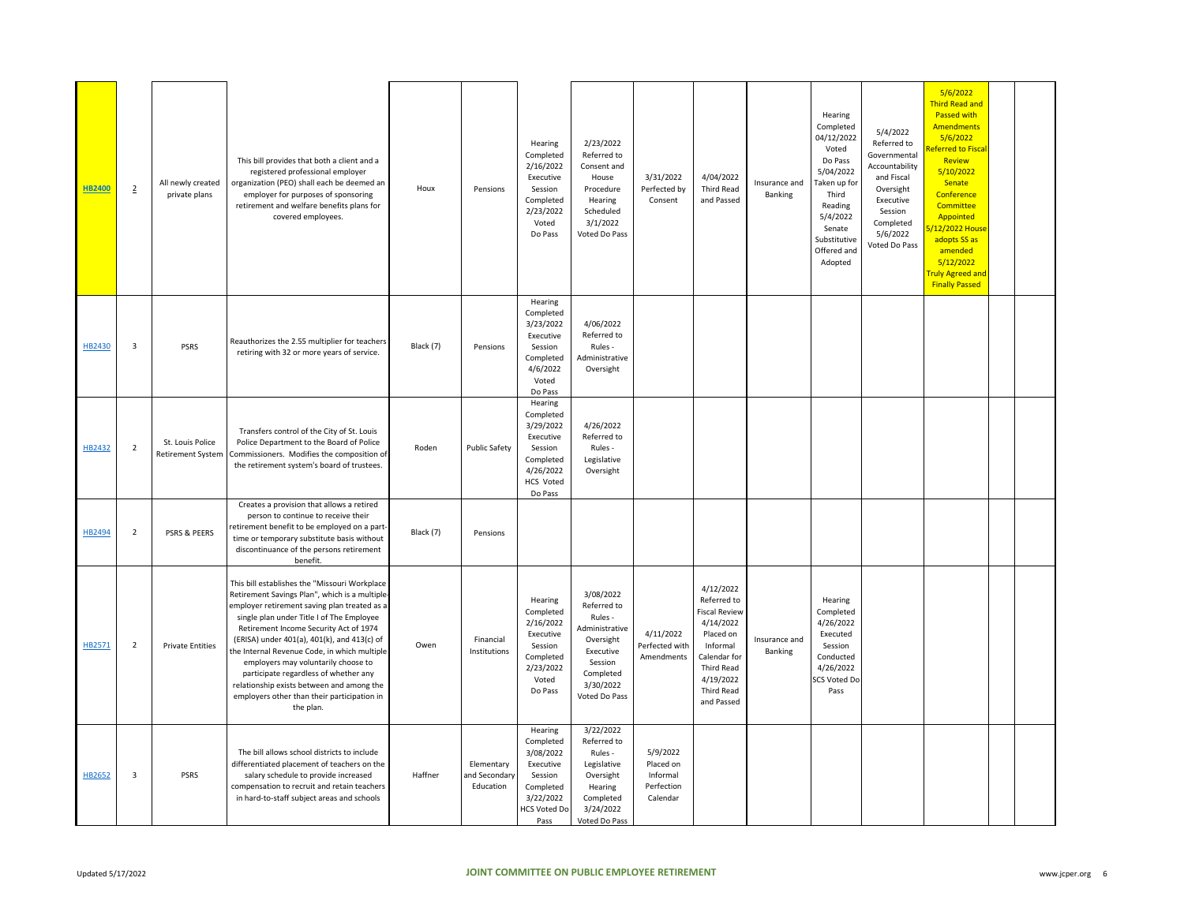| <b>HB2400</b> | $\overline{2}$          | All newly created<br>private plans    | This bill provides that both a client and a<br>registered professional employer<br>organization (PEO) shall each be deemed an<br>employer for purposes of sponsoring<br>retirement and welfare benefits plans for<br>covered employees.                                                                                                                                                                                                                                                                                        | Houx      | Pensions                                 | Hearing<br>Completed<br>2/16/2022<br>Executive<br>Session<br>Completed<br>2/23/2022<br>Voted<br>Do Pass            | 2/23/2022<br>Referred to<br>Consent and<br>House<br>Procedure<br>Hearing<br>Scheduled<br>3/1/2022<br>Voted Do Pass                   | 3/31/2022<br>Perfected by<br>Consent                        | 4/04/2022<br><b>Third Read</b><br>and Passed                                                                                                                                | Insurance and<br>Banking | Hearing<br>Completed<br>04/12/2022<br>Voted<br>Do Pass<br>5/04/2022<br><b>Taken up for</b><br>Third<br>Reading<br>5/4/2022<br>Senate<br>Substitutive<br>Offered and<br>Adopted | 5/4/2022<br>Referred to<br>Governmental<br>Accountability<br>and Fiscal<br>Oversight<br>Executive<br>Session<br>Completed<br>5/6/2022<br>Voted Do Pass | 5/6/2022<br><b>Third Read and</b><br>Passed with<br><b>Amendments</b><br>5/6/2022<br>eferred to Fisca<br>Review<br>5/10/2022<br>Senate<br>Conference<br>Committee<br>Appointed<br>/12/2022 Hous<br>adopts SS as<br>amended<br>5/12/2022<br><b>Fruly Agreed and</b><br><b>Finally Passed</b> |  |
|---------------|-------------------------|---------------------------------------|--------------------------------------------------------------------------------------------------------------------------------------------------------------------------------------------------------------------------------------------------------------------------------------------------------------------------------------------------------------------------------------------------------------------------------------------------------------------------------------------------------------------------------|-----------|------------------------------------------|--------------------------------------------------------------------------------------------------------------------|--------------------------------------------------------------------------------------------------------------------------------------|-------------------------------------------------------------|-----------------------------------------------------------------------------------------------------------------------------------------------------------------------------|--------------------------|--------------------------------------------------------------------------------------------------------------------------------------------------------------------------------|--------------------------------------------------------------------------------------------------------------------------------------------------------|---------------------------------------------------------------------------------------------------------------------------------------------------------------------------------------------------------------------------------------------------------------------------------------------|--|
| HB2430        | $\overline{\mathbf{3}}$ | <b>PSRS</b>                           | Reauthorizes the 2.55 multiplier for teachers<br>retiring with 32 or more years of service.                                                                                                                                                                                                                                                                                                                                                                                                                                    | Black (7) | Pensions                                 | Hearing<br>Completed<br>3/23/2022<br>Executive<br>Session<br>Completed<br>4/6/2022<br>Voted<br>Do Pass             | 4/06/2022<br>Referred to<br>Rules -<br>Administrative<br>Oversight                                                                   |                                                             |                                                                                                                                                                             |                          |                                                                                                                                                                                |                                                                                                                                                        |                                                                                                                                                                                                                                                                                             |  |
| HB2432        | $\overline{2}$          | St. Louis Police<br>Retirement System | Transfers control of the City of St. Louis<br>Police Department to the Board of Police<br>Commissioners. Modifies the composition of<br>the retirement system's board of trustees.                                                                                                                                                                                                                                                                                                                                             | Roden     | <b>Public Safety</b>                     | Hearing<br>Completed<br>3/29/2022<br>Executive<br>Session<br>Completed<br>4/26/2022<br><b>HCS Voted</b><br>Do Pass | 4/26/2022<br>Referred to<br>Rules -<br>Legislative<br>Oversight                                                                      |                                                             |                                                                                                                                                                             |                          |                                                                                                                                                                                |                                                                                                                                                        |                                                                                                                                                                                                                                                                                             |  |
| HB2494        | $\overline{2}$          | PSRS & PEERS                          | Creates a provision that allows a retired<br>person to continue to receive their<br>retirement benefit to be employed on a part-<br>time or temporary substitute basis without<br>discontinuance of the persons retirement<br>benefit.                                                                                                                                                                                                                                                                                         | Black (7) | Pensions                                 |                                                                                                                    |                                                                                                                                      |                                                             |                                                                                                                                                                             |                          |                                                                                                                                                                                |                                                                                                                                                        |                                                                                                                                                                                                                                                                                             |  |
| HB2571        | $\overline{2}$          | <b>Private Entities</b>               | This bill establishes the "Missouri Workplace<br>Retirement Savings Plan", which is a multiple-<br>employer retirement saving plan treated as a<br>single plan under Title I of The Employee<br>Retirement Income Security Act of 1974<br>(ERISA) under 401(a), 401(k), and 413(c) of<br>the Internal Revenue Code, in which multiple<br>employers may voluntarily choose to<br>participate regardless of whether any<br>relationship exists between and among the<br>employers other than their participation in<br>the plan. | Owen      | Financial<br>Institutions                | Hearing<br>Completed<br>2/16/2022<br>Executive<br>Session<br>Completed<br>2/23/2022<br>Voted<br>Do Pass            | 3/08/2022<br>Referred to<br>Rules -<br>dministrative<br>Oversight<br>Executive<br>Session<br>Completed<br>3/30/2022<br>Voted Do Pass | 4/11/2022<br>Perfected with<br>Amendments                   | 4/12/2022<br>Referred to<br><b>Fiscal Review</b><br>4/14/2022<br>Placed on<br>Informal<br>Calendar for<br><b>Third Read</b><br>4/19/2022<br><b>Third Read</b><br>and Passed | Insurance and<br>Banking | Hearing<br>Completed<br>4/26/2022<br>Executed<br>Session<br>Conducted<br>4/26/2022<br><b>SCS Voted Do</b><br>Pass                                                              |                                                                                                                                                        |                                                                                                                                                                                                                                                                                             |  |
| HB2652        | $\overline{\mathbf{3}}$ | <b>PSRS</b>                           | The bill allows school districts to include<br>differentiated placement of teachers on the<br>salary schedule to provide increased<br>compensation to recruit and retain teachers<br>in hard-to-staff subject areas and schools                                                                                                                                                                                                                                                                                                | Haffner   | Elementary<br>and Secondary<br>Education | Hearing<br>Completed<br>3/08/2022<br>Executive<br>Session<br>Completed<br>3/22/2022<br><b>HCS Voted Do</b><br>Pass | 3/22/2022<br>Referred to<br>Rules -<br>Legislative<br>Oversight<br>Hearing<br>Completed<br>3/24/2022<br>Voted Do Pass                | 5/9/2022<br>Placed on<br>Informal<br>Perfection<br>Calendar |                                                                                                                                                                             |                          |                                                                                                                                                                                |                                                                                                                                                        |                                                                                                                                                                                                                                                                                             |  |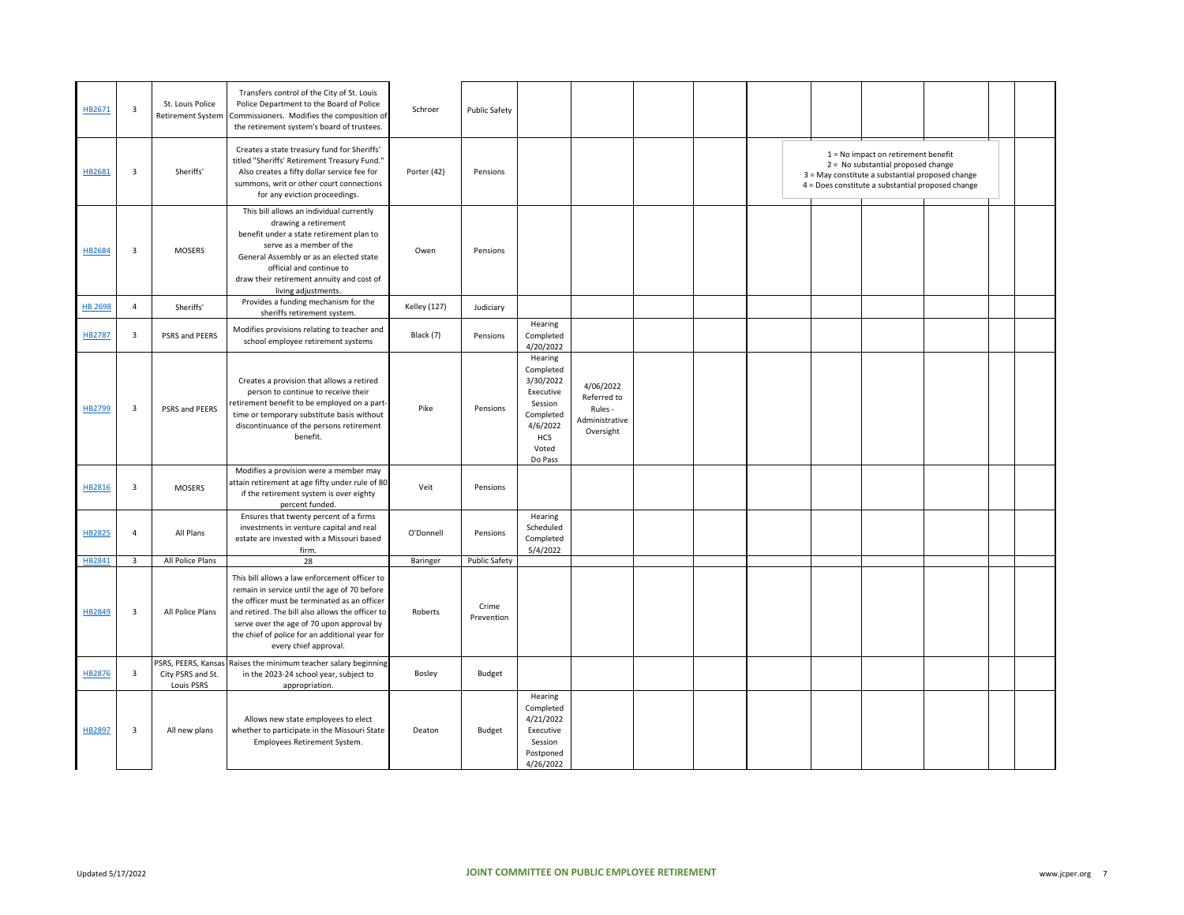| HB2671         | $\overline{\mathbf{3}}$ | St. Louis Police<br><b>Retirement System</b>          | Transfers control of the City of St. Louis<br>Police Department to the Board of Police<br>Commissioners. Modifies the composition of<br>the retirement system's board of trustees.                                                                                                                                        | Schroer             | <b>Public Safety</b> |                                                                                                                      |                                                                    |  |  |                                                                                                                                                                                      |  |  |
|----------------|-------------------------|-------------------------------------------------------|---------------------------------------------------------------------------------------------------------------------------------------------------------------------------------------------------------------------------------------------------------------------------------------------------------------------------|---------------------|----------------------|----------------------------------------------------------------------------------------------------------------------|--------------------------------------------------------------------|--|--|--------------------------------------------------------------------------------------------------------------------------------------------------------------------------------------|--|--|
| HB2681         | 3                       | Sheriffs'                                             | Creates a state treasury fund for Sheriffs'<br>titled "Sheriffs' Retirement Treasury Fund."<br>Also creates a fifty dollar service fee for<br>summons, writ or other court connections<br>for any eviction proceedings.                                                                                                   | Porter (42)         | Pensions             |                                                                                                                      |                                                                    |  |  | $1 = No$ impact on retirement benefit<br>2 = No substantial proposed change<br>3 = May constitute a substantial proposed change<br>4 = Does constitute a substantial proposed change |  |  |
| HB2684         | $\overline{\mathbf{3}}$ | <b>MOSERS</b>                                         | This bill allows an individual currently<br>drawing a retirement<br>benefit under a state retirement plan to<br>serve as a member of the<br>General Assembly or as an elected state<br>official and continue to<br>draw their retirement annuity and cost of<br>living adjustments.                                       | Owen                | Pensions             |                                                                                                                      |                                                                    |  |  |                                                                                                                                                                                      |  |  |
| <b>HB 2698</b> | $\overline{4}$          | Sheriffs'                                             | Provides a funding mechanism for the<br>sheriffs retirement system.                                                                                                                                                                                                                                                       | <b>Kelley (127)</b> | Judiciary            |                                                                                                                      |                                                                    |  |  |                                                                                                                                                                                      |  |  |
| <b>HB2787</b>  | $\overline{3}$          | PSRS and PEERS                                        | Modifies provisions relating to teacher and<br>school employee retirement systems                                                                                                                                                                                                                                         | Black (7)           | Pensions             | Hearing<br>Completed<br>4/20/2022                                                                                    |                                                                    |  |  |                                                                                                                                                                                      |  |  |
| HB2799         | 3                       | PSRS and PEERS                                        | Creates a provision that allows a retired<br>person to continue to receive their<br>retirement benefit to be employed on a part-<br>time or temporary substitute basis without<br>discontinuance of the persons retirement<br>benefit.                                                                                    | Pike                | Pensions             | Hearing<br>Completed<br>3/30/2022<br>Executive<br>Session<br>Completed<br>4/6/2022<br><b>HCS</b><br>Voted<br>Do Pass | 4/06/2022<br>Referred to<br>Rules -<br>Administrative<br>Oversight |  |  |                                                                                                                                                                                      |  |  |
| HB2816         | $\overline{\mathbf{3}}$ | <b>MOSERS</b>                                         | Modifies a provision were a member may<br>attain retirement at age fifty under rule of 80<br>if the retirement system is over eighty<br>percent funded.                                                                                                                                                                   | Veit                | Pensions             |                                                                                                                      |                                                                    |  |  |                                                                                                                                                                                      |  |  |
| HB2825         | $\overline{4}$          | All Plans                                             | Ensures that twenty percent of a firms<br>investments in venture capital and real<br>estate are invested with a Missouri based<br>firm.                                                                                                                                                                                   | O'Donnell           | Pensions             | Hearing<br>Scheduled<br>Completed<br>5/4/2022                                                                        |                                                                    |  |  |                                                                                                                                                                                      |  |  |
| HB2841         | $\overline{\mathbf{3}}$ | All Police Plans                                      | 28                                                                                                                                                                                                                                                                                                                        | Baringer            | Public Safety        |                                                                                                                      |                                                                    |  |  |                                                                                                                                                                                      |  |  |
| HB2849         | $\overline{\mathbf{3}}$ | All Police Plans                                      | This bill allows a law enforcement officer to<br>remain in service until the age of 70 before<br>the officer must be terminated as an officer<br>and retired. The bill also allows the officer to<br>serve over the age of 70 upon approval by<br>the chief of police for an additional year for<br>every chief approval. | Roberts             | Crime<br>Prevention  |                                                                                                                      |                                                                    |  |  |                                                                                                                                                                                      |  |  |
| HB2876         | 3                       | SRS, PEERS, Kansa:<br>City PSRS and St.<br>Louis PSRS | Raises the minimum teacher salary beginning<br>in the 2023-24 school year, subject to<br>appropriation.                                                                                                                                                                                                                   | Bosley              | Budget               |                                                                                                                      |                                                                    |  |  |                                                                                                                                                                                      |  |  |
| HB2897         | $\overline{3}$          | All new plans                                         | Allows new state employees to elect<br>whether to participate in the Missouri State<br>Employees Retirement System.                                                                                                                                                                                                       | Deaton              | Budget               | Hearing<br>Completed<br>4/21/2022<br>Executive<br>Session<br>Postponed<br>4/26/2022                                  |                                                                    |  |  |                                                                                                                                                                                      |  |  |